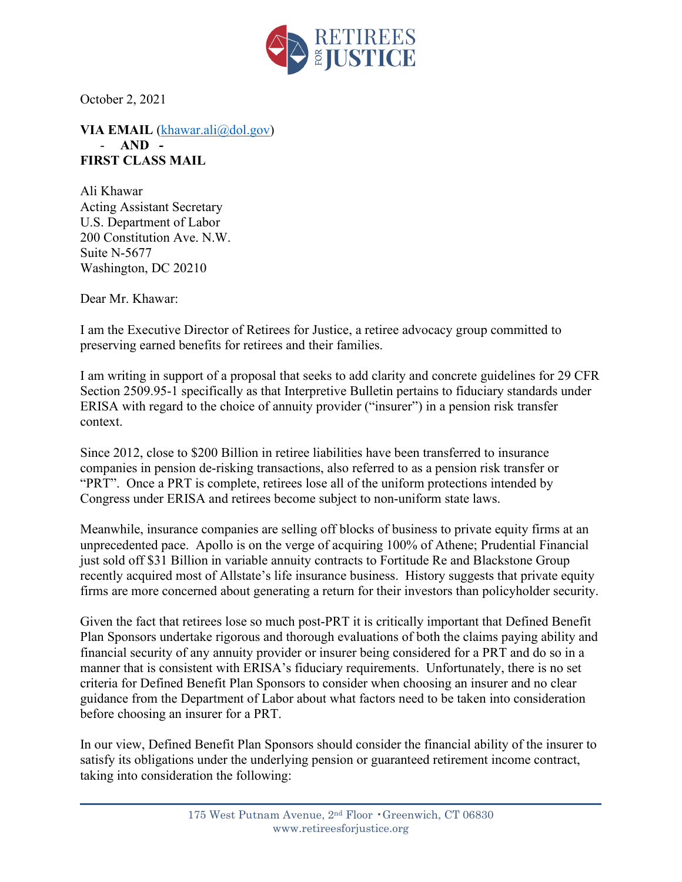

October 2, 2021

**VIA EMAIL** [\(khawar.ali@dol.gov\)](mailto:khawar.ali@dol.gov) - **AND - FIRST CLASS MAIL**

Ali Khawar Acting Assistant Secretary U.S. Department of Labor 200 Constitution Ave. N.W. Suite N-5677 Washington, DC 20210

Dear Mr. Khawar:

I am the Executive Director of Retirees for Justice, a retiree advocacy group committed to preserving earned benefits for retirees and their families.

I am writing in support of a proposal that seeks to add clarity and concrete guidelines for 29 CFR Section 2509.95-1 specifically as that Interpretive Bulletin pertains to fiduciary standards under ERISA with regard to the choice of annuity provider ("insurer") in a pension risk transfer context.

Since 2012, close to \$200 Billion in retiree liabilities have been transferred to insurance companies in pension de-risking transactions, also referred to as a pension risk transfer or "PRT". Once a PRT is complete, retirees lose all of the uniform protections intended by Congress under ERISA and retirees become subject to non-uniform state laws.

Meanwhile, insurance companies are selling off blocks of business to private equity firms at an unprecedented pace. Apollo is on the verge of acquiring 100% of Athene; Prudential Financial just sold off \$31 Billion in variable annuity contracts to Fortitude Re and Blackstone Group recently acquired most of Allstate's life insurance business. History suggests that private equity firms are more concerned about generating a return for their investors than policyholder security.

Given the fact that retirees lose so much post-PRT it is critically important that Defined Benefit Plan Sponsors undertake rigorous and thorough evaluations of both the claims paying ability and financial security of any annuity provider or insurer being considered for a PRT and do so in a manner that is consistent with ERISA's fiduciary requirements. Unfortunately, there is no set criteria for Defined Benefit Plan Sponsors to consider when choosing an insurer and no clear guidance from the Department of Labor about what factors need to be taken into consideration before choosing an insurer for a PRT.

In our view, Defined Benefit Plan Sponsors should consider the financial ability of the insurer to satisfy its obligations under the underlying pension or guaranteed retirement income contract, taking into consideration the following: